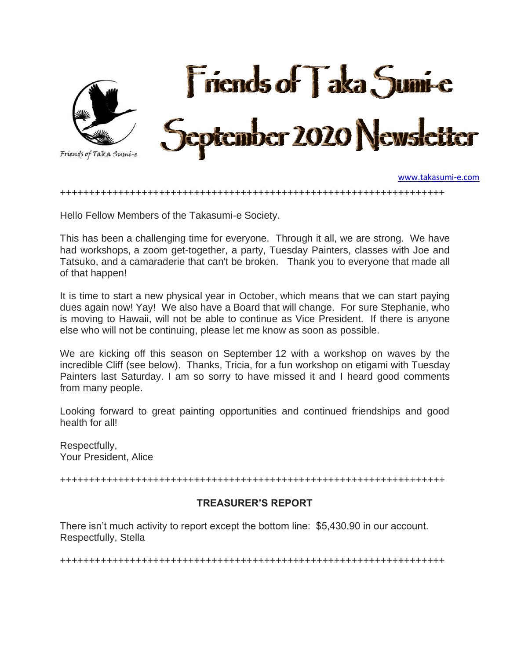

[www.takasumi-e.com](http://www.takasumi-e.com/)

++++++++++++++++++++++++++++++++++++++++++++++++++++++++++++++++++

Hello Fellow Members of the Takasumi-e Society.

This has been a challenging time for everyone. Through it all, we are strong. We have had workshops, a zoom get-together, a party, Tuesday Painters, classes with Joe and Tatsuko, and a camaraderie that can't be broken. Thank you to everyone that made all of that happen!

It is time to start a new physical year in October, which means that we can start paying dues again now! Yay! We also have a Board that will change. For sure Stephanie, who is moving to Hawaii, will not be able to continue as Vice President. If there is anyone else who will not be continuing, please let me know as soon as possible.

We are kicking off this season on September 12 with a workshop on waves by the incredible Cliff (see below). Thanks, Tricia, for a fun workshop on etigami with Tuesday Painters last Saturday. I am so sorry to have missed it and I heard good comments from many people.

Looking forward to great painting opportunities and continued friendships and good health for all!

Respectfully, Your President, Alice

++++++++++++++++++++++++++++++++++++++++++++++++++++++++++++++++++

### **TREASURER'S REPORT**

There isn't much activity to report except the bottom line: \$5,430.90 in our account. Respectfully, Stella

++++++++++++++++++++++++++++++++++++++++++++++++++++++++++++++++++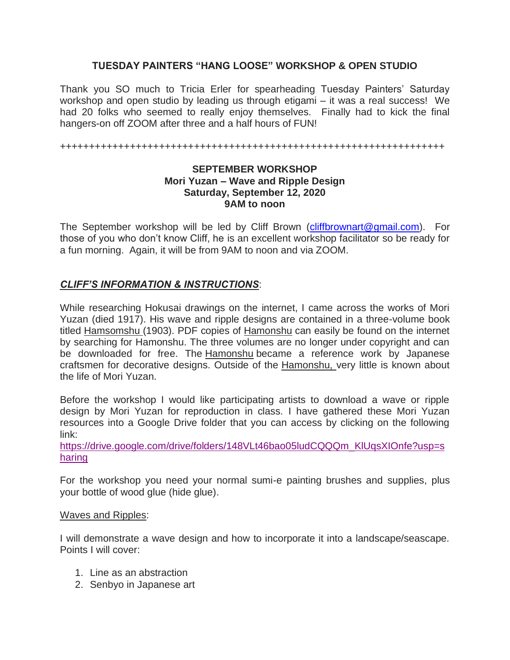### **TUESDAY PAINTERS "HANG LOOSE" WORKSHOP & OPEN STUDIO**

Thank you SO much to Tricia Erler for spearheading Tuesday Painters' Saturday workshop and open studio by leading us through etigami – it was a real success! We had 20 folks who seemed to really enjoy themselves. Finally had to kick the final hangers-on off ZOOM after three and a half hours of FUN!

++++++++++++++++++++++++++++++++++++++++++++++++++++++++++++++++++

#### **SEPTEMBER WORKSHOP Mori Yuzan – Wave and Ripple Design Saturday, September 12, 2020 9AM to noon**

The September workshop will be led by Cliff Brown [\(cliffbrownart@gmail.com\)](mailto:cliffbrownart@gmail.com). For those of you who don't know Cliff, he is an excellent workshop facilitator so be ready for a fun morning. Again, it will be from 9AM to noon and via ZOOM.

## *CLIFF'S INFORMATION & INSTRUCTIONS*:

While researching Hokusai drawings on the internet, I came across the works of Mori Yuzan (died 1917). His wave and ripple designs are contained in a three-volume book titled Hamsomshu (1903). PDF copies of Hamonshu can easily be found on the internet by searching for Hamonshu. The three volumes are no longer under copyright and can be downloaded for free. The Hamonshu became a reference work by Japanese craftsmen for decorative designs. Outside of the Hamonshu, very little is known about the life of Mori Yuzan.

Before the workshop I would like participating artists to download a wave or ripple design by Mori Yuzan for reproduction in class. I have gathered these Mori Yuzan resources into a Google Drive folder that you can access by clicking on the following link:

https://drive.google.com/drive/folders/148VLt46bao05ludCQQQm\_KlUgsXIOnfe?usp=s [haring](https://drive.google.com/drive/folders/148VLt46bao05ludCQQQm_KlUqsXIOnfe?usp=sharing)

For the workshop you need your normal sumi-e painting brushes and supplies, plus your bottle of wood glue (hide glue).

#### Waves and Ripples:

I will demonstrate a wave design and how to incorporate it into a landscape/seascape. Points I will cover:

- 1. Line as an abstraction
- 2. Senbyo in Japanese art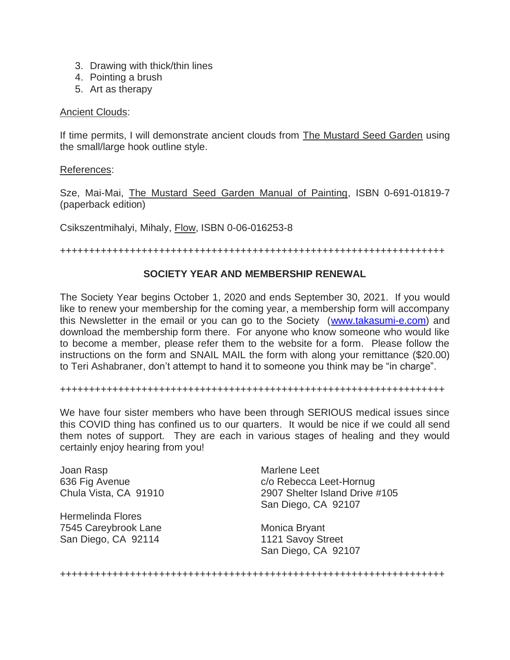- 3. Drawing with thick/thin lines
- 4. Pointing a brush
- 5. Art as therapy

#### Ancient Clouds:

If time permits, I will demonstrate ancient clouds from The Mustard Seed Garden using the small/large hook outline style.

References:

Sze, Mai-Mai, The Mustard Seed Garden Manual of Painting, ISBN 0-691-01819-7 (paperback edition)

Csikszentmihalyi, Mihaly, Flow, ISBN 0-06-016253-8

++++++++++++++++++++++++++++++++++++++++++++++++++++++++++++++++++

## **SOCIETY YEAR AND MEMBERSHIP RENEWAL**

The Society Year begins October 1, 2020 and ends September 30, 2021. If you would like to renew your membership for the coming year, a membership form will accompany this Newsletter in the email or you can go to the Society [\(www.takasumi-e.com\)](http://www.takasumi-e.com/) and download the membership form there. For anyone who know someone who would like to become a member, please refer them to the website for a form. Please follow the instructions on the form and SNAIL MAIL the form with along your remittance (\$20.00) to Teri Ashabraner, don't attempt to hand it to someone you think may be "in charge".

++++++++++++++++++++++++++++++++++++++++++++++++++++++++++++++++++

We have four sister members who have been through SERIOUS medical issues since this COVID thing has confined us to our quarters. It would be nice if we could all send them notes of support. They are each in various stages of healing and they would certainly enjoy hearing from you!

Joan Rasp 636 Fig Avenue Chula Vista, CA 91910

Hermelinda Flores 7545 Careybrook Lane San Diego, CA 92114

Marlene Leet c/o Rebecca Leet-Hornug 2907 Shelter Island Drive #105 San Diego, CA 92107

Monica Bryant 1121 Savoy Street San Diego, CA 92107

++++++++++++++++++++++++++++++++++++++++++++++++++++++++++++++++++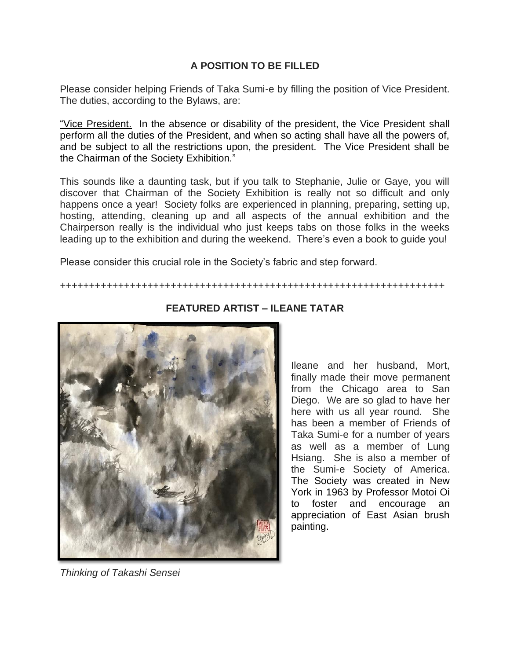## **A POSITION TO BE FILLED**

Please consider helping Friends of Taka Sumi-e by filling the position of Vice President. The duties, according to the Bylaws, are:

"Vice President. In the absence or disability of the president, the Vice President shall perform all the duties of the President, and when so acting shall have all the powers of, and be subject to all the restrictions upon, the president. The Vice President shall be the Chairman of the Society Exhibition."

This sounds like a daunting task, but if you talk to Stephanie, Julie or Gaye, you will discover that Chairman of the Society Exhibition is really not so difficult and only happens once a year! Society folks are experienced in planning, preparing, setting up, hosting, attending, cleaning up and all aspects of the annual exhibition and the Chairperson really is the individual who just keeps tabs on those folks in the weeks leading up to the exhibition and during the weekend. There's even a book to guide you!

Please consider this crucial role in the Society's fabric and step forward.

++++++++++++++++++++++++++++++++++++++++++++++++++++++++++++++++++



# **FEATURED ARTIST – ILEANE TATAR**

Ileane and her husband, Mort, finally made their move permanent from the Chicago area to San Diego. We are so glad to have her here with us all year round. She has been a member of Friends of Taka Sumi-e for a number of years as well as a member of Lung Hsiang. She is also a member of the Sumi-e Society of America. The Society was created in New York in 1963 by Professor Motoi Oi to foster and encourage an appreciation of East Asian brush painting.

*Thinking of Takashi Sensei*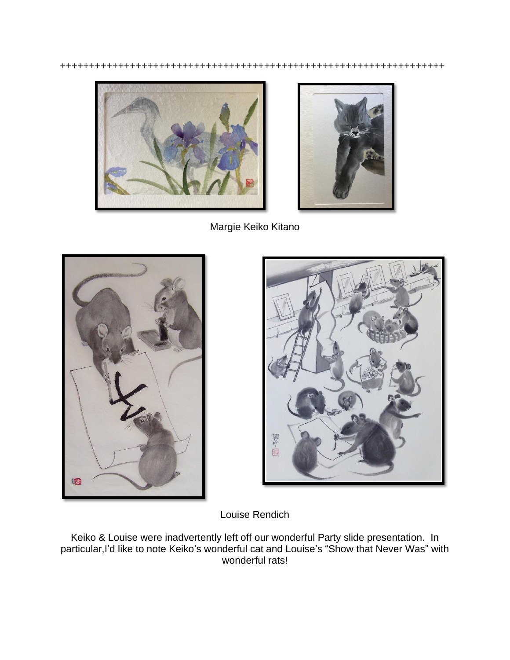++++++++++++++++++++++++++++++++++++++++++++++++++++++++++++++++++





Margie Keiko Kitano





Louise Rendich

Keiko & Louise were inadvertently left off our wonderful Party slide presentation. In particular,I'd like to note Keiko's wonderful cat and Louise's "Show that Never Was" with wonderful rats!